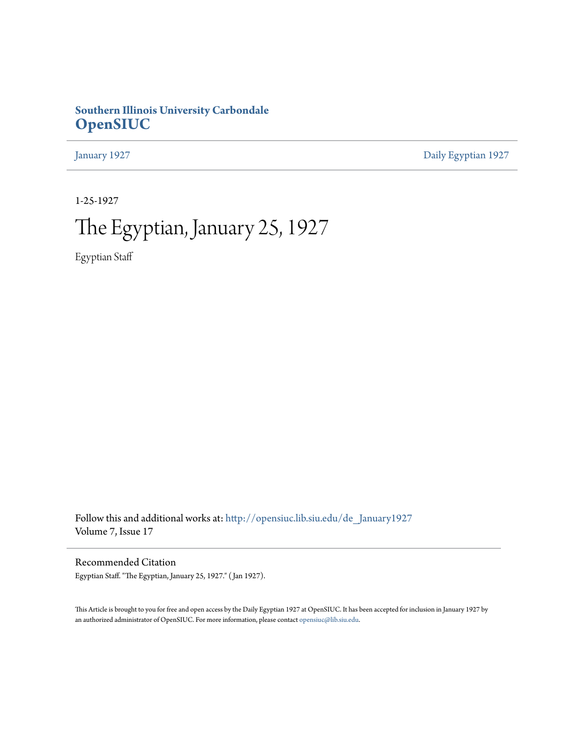# **Southern Illinois University Carbondale [OpenSIUC](http://opensiuc.lib.siu.edu?utm_source=opensiuc.lib.siu.edu%2Fde_January1927%2F1&utm_medium=PDF&utm_campaign=PDFCoverPages)**

[January 1927](http://opensiuc.lib.siu.edu/de_January1927?utm_source=opensiuc.lib.siu.edu%2Fde_January1927%2F1&utm_medium=PDF&utm_campaign=PDFCoverPages) [Daily Egyptian 1927](http://opensiuc.lib.siu.edu/de_1927?utm_source=opensiuc.lib.siu.edu%2Fde_January1927%2F1&utm_medium=PDF&utm_campaign=PDFCoverPages)

1-25-1927

# The Egyptian, January 25, 1927

Egyptian Staff

Follow this and additional works at: [http://opensiuc.lib.siu.edu/de\\_January1927](http://opensiuc.lib.siu.edu/de_January1927?utm_source=opensiuc.lib.siu.edu%2Fde_January1927%2F1&utm_medium=PDF&utm_campaign=PDFCoverPages) Volume 7, Issue 17

Recommended Citation

Egyptian Staff. "The Egyptian, January 25, 1927." ( Jan 1927).

This Article is brought to you for free and open access by the Daily Egyptian 1927 at OpenSIUC. It has been accepted for inclusion in January 1927 by an authorized administrator of OpenSIUC. For more information, please contact [opensiuc@lib.siu.edu.](mailto:opensiuc@lib.siu.edu)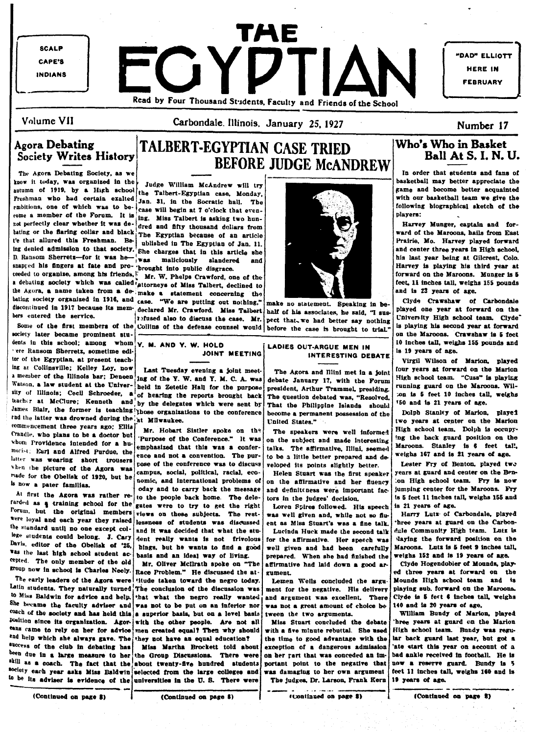**SCALP** CAPE'S INDIANS

 $\lfloor$ 

INDIANS **TI-\E EORY PRODUCED**<br>Read by Four Thousand Students, Faculty and Friends of the School

"DAD" ELLIOTT HERE IN FEBRUARY

Volume VII

Carbondale. illinois. January 25, 1927

the Agora Debating Society, as we have it today, was organized in the Judge William McAndrew will try in the come better appreciate the particular of 1919. by a High school the Talbert-Egyptian case. Monday, it is a streag Freshman who had certain exalted Jan. 31, in the Socratic ball. The preshman who had certain exalted Jan. 31, in the Socratic ball. The preshman who had certain exalted Jan. 31, in the Socratic ball. The contract of the so rmbitions, one of which was to be·<br>1 increase will begin at 7 o'clock that even-<br>1 increase of the impact of the increase whether it was de- dred and fifty thousand dollars from not we meet the state of the contract of the contract of the contract of the dollars from Harvey Munger, captain and for-<br>bating or the flaring collar and black, The Ferntian because of an article in the contract ward of t baLlng or the flaring collar and black I Iren and Hity moussand bounders from particle ward of the Maroons, hails from East in the Egyptian because of an article ward of the Maroons, hails from East in the Egyptian because t'e that allured this Freshman. Be- ublished in The Egyptian of Jan. 11. Prairie, Mo. Harvey played forward ing denied admission to that society, She charges that in this article she and center three years in High school, D. Ransom Sherrets-for it was he was maliciously slag married and his last year being at Gilcrest, Colo. snapred his fingers at fate and pro- 'brought into public disgrace. HarTey IB playing his third year at the Maroons. Munger is 5

The Ransom Sherretx, sometime edi-<br>
JOINT MEETING INTERESTING DEBATE INTERESTING DEBATE lor of the Egyptian, at present teach-<br>ing at Collinsville; Kelley Loy, now reset Theodor evening a tolut meat. The teacher and lot of the Marion control on the Marion ing at Collinsville; Kelley Loy, now Last Tuesday evening a joint meet. The Agora and Illini met in a joint cour years at forward on the Marion<br>a member of the Illinois bar; Deneen ing of the Y. W. and Y. M. C. A. was deb rod the latter was drowned during the at Milwaukee. The contraction of the Marton contraction of the Marton contraction of the Marton contraction of the Marton contraction of the Marton contraction of the Marton contractio commencement three years ago; Ellis Mr. Hobart Sistler spoke on the The speakers were well informed High school team. Dolph is occupy-<br>Crandle, who plans to be a doctor but Purpose of the Conference." It was on the subject

<sup>2nd help</sup> which she always gave. The they not have an equal education? the time to good advantage with the <sup>lar</sup> back guard last year, but got a success of the club in debating has **Miss.** Mais Martha. Brockett told abou success of the club in debating has Miss Martha Brockett told about exception of a dangerous admission 'ate start this year on account of a been due to a secount of a large in the start this year on account of a large larg society each year asks Miss Baldwin selected from the large colleges and was damaging to her own argument feet 11 inches tall, weighs 160<br>to be its adviser is evidence of the universities in the U.S. There were the judges,

# Agora Debating **ITALBERT-EGYPTIAN CASE TRIED** Who's Who in Basket Society Writes History **ITALBERT-EGYPTIAN** CASE TRIED Who's Who in Basket BEFORE JUDGE McANDREW

receted to organize, among ans are alled that we have the caned of Miss Talbert, declined to feet. 11 inches tall, weighs 155 pounds<br>
a debating society which was called the base of Miss Talbert, declined to feet. 11 inche a weaven, a name taken from a de-. make a statement concerning the bating society organized in 1916, and case. "We are putting out nothing," make no statement. Speaking in be- Clyde Crawshaw of Carbondale<br>discontinued in 1917 because its mem-declared Mr. Crawford. Miss Taibert half of his

belowed also to discuss the case. Mr. pect that we had better say nothing Cniversity High school team. Civics of the case. Mr. pect that we had better asy nothing Cniversity High school team. Civics



a member of the Illinois bar; Deneen ing of the Y. W. and Y. M. C. A. was debate January 17, with the Forum High school team. "Cusa" is playing Watson, a law student at the Univer- beld in Zetetic Hall for the purpose. president. Arthur Trammel. presiding running guard on the Marcons. Wil-Indison, a law student at the Univer- held in Zetetic Hall for the purpose president, Arthur Trammel, presiding. running guard on the maroons. Willinols; Cecil Schroeder, a of hearing the reports brought back The question teacher at McClure; Kenneth and by the delegates which were sent by That the Philippine Islands should 150 and is 21 years of age.<br>James Blair, the former is teaching those organizations to the conference become a permanen James Blair, the former is teaching those organizations to the conference become a permanent possession of the

"" on Tiongence intended for a bu- emphasized that this was a confer- talks. The affirmative, Illini, seemed Maroons. Stanley is 6 feet tal lnorist, carl and Altred Purdue, the ence and not a convention. The pur- to be a little better prepared and de- weighs 167 and is 21 years of age. when the picture of the Agora was campus, social, political, racial, eco-<br>when the picture of the Agora was campus, social, political, racial, eco-<br>played its points slightly better. Lester Fry of Benton. played two<br>in Hig campus, social, political, racial, eco- Helen Stuart was the first speaker years at guard and center on the Ben-<br>nomic, and international problems of on the affirmative and her fluency ... on High school team. Fry is now

oday and to carry back the message and definiteness were important face jumping center for the Maroons. Fry to the people back home. The dele- tors in the judges' decision. Its 5 feet 11 inches tall, weighs 155 and rarded as a training school for the control of the right Lore in the right Lorent Lorent Lorent Lorent Lorent Lorent Lorent Lorent Lorent Lorent Lorent Lorent Lorent Lorent Lorent Lorent Lorent Lorent Lorent Lorent Lorent views on these subjects. The rest- was well given and, while not so flu-<br>lessness of students was discussed ent as Miss Stuart's was a fine talk three years at guard on the Carbonwere loyal and each year they raised lessness of students was discussed ent as Miss Stuart's was a fine talk. Three years at guard on the Carbon-<br>the standard until no one except col- and it was decided that what the stu the standard until no one except coi- and it was decided that what the stu-<br>lege students could belong. J. Cary dont wanter wante to not frivolous for the affirmative. Her speech was ""<sup>Ke students could belong</sup>. J. Cary dent really wants is not frivolous for the affirmative. Her speech was 'laying the forward position on the Davis, editor of the Obelisk of '25. Nines hut ha wants to find a good wall w hings, but he wants to find a good well given and had been carefully Maroons. Lutz is 5 feet 9 inches tall, the way of living. prepared. When she had finished the weighs 152 and is 19 years of age.

coup now in school is Charles Neely. Race Problem." He discussed the at- | gument. [100] and the sears at forward on the early leaders of the Agora were titude taken toward the negro today. [ILE Lemen Wells concluded the titude taken toward the negro today. | Lemen Wells concluded the argu- | Mounds High school team and is Latin students. They naturally turned The conclusion of the discussion was ment for the negative. His delivery playing sub. forward on the Maroons.<br><sup>to Miss</sup> Baldwin for advice and help. that what the negro really wanted, The early leaders of the Agora were titude taken toward the negro today. Lemen Wells concluded the argument Mounds High school team and is a limit intention. They naturally turned The conclusion of the discussion was ment She became the faculty adviser and was not to be put on an inferior nor was not a great amount of choice be 140 and is 20 years of age.<br>
<sup>toach</sup> of the society and has held this a superior basis, but on a level basis i wee coach of the society and has held this a superior basis, but on a level basis iween the two arguments. William Bundy of Marion, played pointing superior basis in the Marion of Marion, played Dosition since its organization. Agor with the other people. Are not all Miss Stuart concluded the debate free years at guard on the Marion tanks came to rely on her for advice men created equal? Then why should with a fi

been due in a large measure to her the Group Discussions. There were on her rart that was conceded an im-<br><sup>skill</sup> as a coach. The fact that the about twenty-five hundred students portant point to the negative that  $\frac{1}{k}$ ll as a coach. The fact that the about twenty-five bundred students portant point to the negative that now a reserve guard. Bundy is 5<br><sup>Society</sup> each year asks Miss Baldwin selected from the large colleges and wa  $^{30$ ciety each year asks Miss Baldwin selected from the large colleges and was damaging to her own argument feet 11 inches tall, weighs 160 and is



discontinued in 1917 because its mem-, declared Mr. Crawford. Miss Talbert half of his associates, he said, "I sus- played one year at forward on the bers entered the service.

Is now a pater familias.

varies the last high school student ac-<br>
The last high action of the old and an Ideal way of Uving.<br>
The last down a good and Clifford Monnda blaw. Oliver McIlrath apoke on "The last irred. The weighs 152 and is 19 years o "<sup>treed</sup>. The only member of the old Mr. Oliver Mcllrath spoke on "The affirmative had laid down a good ar-<br>Froup now in school is Charles Neely. Race Problem." He discussed the at a gument.

### Number 17

,

 $\overline{\mathbf{L}}$ 

The Agora Debating Society, as we In order that students and fans of  $\overline{\phantom{a}}$  and  $\overline{\phantom{a}}$  and  $\overline{\phantom{a}}$  and  $\overline{\phantom{a}}$  and  $\overline{\phantom{a}}$  and  $\overline{\phantom{a}}$  and  $\overline{\phantom{a}}$  and  $\overline{\phantom{a}}$  and  $\overline{\phantom{a}}$  and  $\overline{\phantom{$ 

Some of the first members of the Collins of the defense counsel would before the case is brought to trial." Is playing his second year at forward society later became prominent students in this school; among whom  $\vert$  Y, M. AND Y. W. HOLD  $\vert$  and EADIES OUT-ARGUE MEN IN  $\vert$  is 19 vears of age.

|-<br>|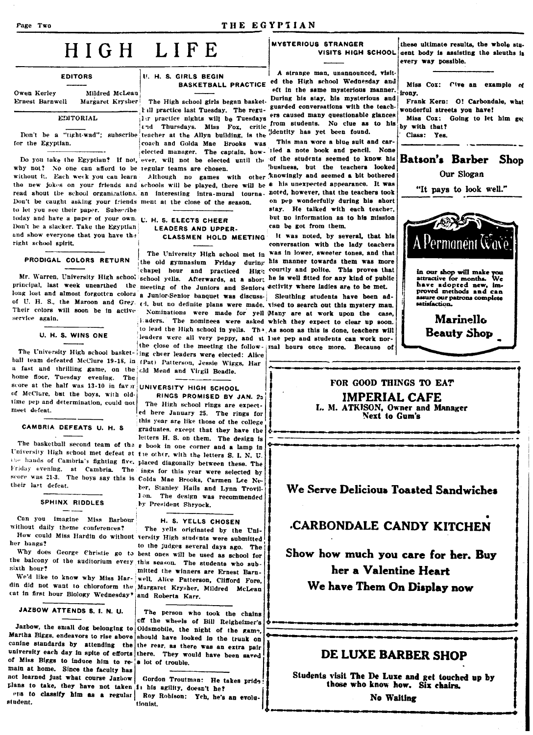#### Page Two

THE EGYPTIAN

# HIGH LIFE

| <b>EDITORS</b>  |                  |                |  |  |
|-----------------|------------------|----------------|--|--|
|                 |                  |                |  |  |
| Owen Kerley     |                  | Mildred McLean |  |  |
| Ernest Barnwell | Margaret Krysher |                |  |  |
|                 | EDITORIAL        |                |  |  |

Don't be a "tight-wad"; subscribe teacher at the Allyn building, is the for the Egyptian.

why not? No one can afford to be regular teams are chosen. without it. Each week you can learn Don't be caught asking your friends ment at the close of the season. to let you see their paper. Subscribe today and have a paper of your own. U. H. S. ELECTS CHEER Don't be a slacker. Take the Egyptian and show everyone that you have the right school spirit.

#### PRODIGAL COLORS RETURN

principal, last week unearthed the meeting of the Juniors and Seniors activity where ladies are to be met. long lost and almost forgotten colors a Junior-Senior banquet was discuss- Sleuthing students have been adof U. H. S., the Maroon and Grey. ed, but no definite plans were made, tised to search out this mystery man. Their colors will soon be in active service again.

U. H. S. WINS ONE

ball team defeated McClure 19-18, in (Pat) Patterson, Jessie Wiggs, Har a fast and thrilling game, on the cld Mead and Virgil Beadle. home floor, Tuesday evening. The score at the half was  $13-10$  in favor of McClure, but the boys, with oldtime pep and determination, could not meet defeat.

#### CAMBRIA DEFEATS U. H. S.

University High school met defeat at the other, with the letters S. I. N. U. the hands of Cambria's fighting five, placed diagonally between these. The Friday evening, at Cambria. The ings for this year were selected by score was 21-3. The boys say this is Colda Mae Brooks, Carmen Lee Netheir last defeat.

#### SPHINX RIDDLES

Can you imagine Miss Barbour without daily theme conferences?

her bangs? the balcony of the auditorium every this season. The students who subsixth hour?

We'd like to know why Miss Har- well, Alice Patterson, Clifford Fore, din did not want to chloroform the Margaret Krysher, Mildred McLean cat in first hour Biology Wednesday' and Roberta Karr.

JAZBOW ATTENDS S. I. N. U.

Martha Biggs, endeavors to rise above canine standards by attending the the rear, as there was an extra pair university each day in spite of efforts there. They would have been saved of Miss Biggs to induce him to re- a lot of trouble. main at home. Since the faculty has not learned just what course Jazbow | Gordon Troutman: He takes pride plans to take, they have not taken 1 his agility, doesn't he?

eps to classify him as a regular Roy Robison: Yeh, he's an evolustudent.

# **U. H. S. GIRLS BEGIN**

 $\mathbf{a}$ . The caused many questionable glances ration with the subsequences of the students. No clue as to his

coach and Golda Mae Brooks was elected manager. The captain, how- lied a note book and pencil. None Do you take the Egyptian? If not, ever, will not be elected until the of the students seemed to know his

the new jokes on your friends and schools will be played, there will be 6 his unexpected appearance. It was read about the school organizations, an interesting intra-mural tourna, noted, however, that the teachers took

### **LEADERS AND UPPER.** CLASSMEN HOLD MEETING

Mr. Warren, University High school school yells. Afterwards, at a short he is well fitted for any kind of public

The University High school basket-ing cheer leaders were elected: Alice

#### UNIVERSITY HIGH SCHOOL

RINGS PROMISED BY JAN. 25 The High school rings are expected here January 25. The rings for this year are like those of the college graduates, except that they have the letters H. S. on them. The design is The basketball second team of the  $\epsilon$  book in one corner and a lamp in ber, Stanley Hails and Lynn Trovil-Ion. The design was recommended by President Shryock.

#### H. S. YELLS CHOSEN

The yells originated by the Uni-How could Miss Hardin do without versity High students were submitted to the judges several days ago. The Why does George Christie go to best ones will be used as school for mitted the winners are Ernest Barn-

The person who took the chains off the wheels of Bill Reigheimer's Jazbow, the small dog belonging to Oldsmobile, the night of the game, should have looked in the trunk on

tionist.

**MYSTERIOUS STRANGER** 

A strange man, unannounced, visit-BASKETBALL PRACTICE ed the High school Wednesday and eft in the same mysterious manner.

The High school girls began basket. During his stay, his mysterious and till practice last Tuesday. The regu-<br>and the teaching with the teach-'identity has yet been found.

This man wore a blue suit and carbusiness, but the teachers looked Although no games with other knowingly and seemed a bit bothered on pep wonderfully during his short stay. He talked with each teacher. but no information as to his mission can be got from them.

It was noted, by several, that his conversation with the lady teachers The University High school met in was in lower, sweeter tones, and that the old gymnasium Friday during his manner towards them was more chapel hour and practiced High courtly and polite. This proves that

Nominations were made for yell Many are at work upon the case, laders. The nominees were asked which they expect to clear up soon. to lead the High school in yells. Th<sup>3</sup>, As soon as this is done, teachers will leaders were all very peppy, and at lose pep and students can work northe close of the meeting the follow- mal hours once more. Because of



Miss Cox: Cive an example of irony.

Frank Kern: O! Carbondale, what wonderful streets you have!

Miss Cox: Going to let him get by with that? Class: Yes.

**Batson's Barber** Shop Our Slogan

"It pays to look well."



Marinello **Beauty Shop** 

#### FOR GOOD THINGS TO EAT **IMPERIAL CAFE** L. M. ATKISON, Owner and Manager Next to Gum's

We Serve Delicious Toasted Sandwiches

# CARBONDALE CANDY KITCHEN

Show how much you care for her. Buy her a Valentine Heart We have Them On Display now

# DE LUXE BARBER SHOP

Students visit The De Luxe and get touched up by those who know how. Six chairs.

No Waiting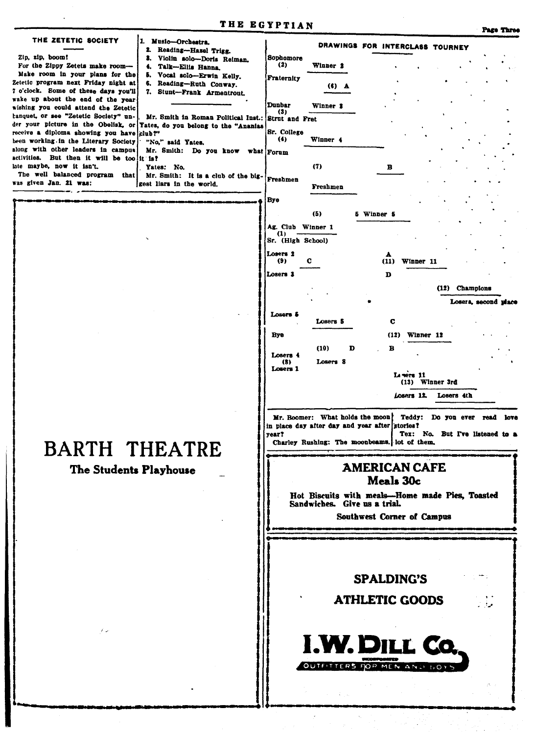| THE ZETETIC SOCIETY<br>Music-Orchestra.<br>2. Reading-Hazel Trigg.<br>Zip, zip, boom!<br>3. Violin solo-Doris Reiman.<br>For the Zippy Zetets make room-<br>4. Talk-Ellis Hanna.<br>Make room in your plans for the<br>5. Vocal solo-Erwin Kelly.<br>Zetetic program next Friday night at<br>Reading-Ruth Conway.<br>6.<br>7 o'clock. Some of these days you'll<br>7. Stunt-Frank Armentrout.<br>wake up about the end of the year<br>wishing you could attend the Zetetic<br>tanquet, or see "Zetetic Society" un-<br>Mr. Smith in Roman Political Inst.: Strut and Fret<br>der your picture in the Obelisk, or<br>Yates, do you belong to the "Ananias<br>receive a diploma showing you have<br>club ?"<br>been working in the Literary Society<br>"No." said Yates.<br>along with other leaders in campus<br>Mr. Smith: Do you know what Forum<br>activities. But then it will be too it is?<br>late maybe, now it isn't.<br>Yates: No.<br>The well balanced program<br>that  <br>Mr. Smith: It is a club of the big-<br>was given Jan. 21 was:<br>gest liars in the world. | DRAWINGS FOR INTERCLASS TOURNEY<br>Sophomore<br>(2)<br>Winner 2<br><b>Fraternity</b><br>$(6)$ $A$<br>Dunbar<br>Winner \$<br>(3)<br>Sr. College<br>Winner 4<br>(4)<br>(7)<br>в<br><b>Freshmen</b><br>Freshmen<br>Bye<br>(5)<br>5 Winner 5<br>Ag. Club Winner 1<br>$\mathbf{u}$<br>Sr. (High School)<br>Losers <sub>2</sub><br>A                                          |  |  |
|--------------------------------------------------------------------------------------------------------------------------------------------------------------------------------------------------------------------------------------------------------------------------------------------------------------------------------------------------------------------------------------------------------------------------------------------------------------------------------------------------------------------------------------------------------------------------------------------------------------------------------------------------------------------------------------------------------------------------------------------------------------------------------------------------------------------------------------------------------------------------------------------------------------------------------------------------------------------------------------------------------------------------------------------------------------------------------|-------------------------------------------------------------------------------------------------------------------------------------------------------------------------------------------------------------------------------------------------------------------------------------------------------------------------------------------------------------------------|--|--|
|                                                                                                                                                                                                                                                                                                                                                                                                                                                                                                                                                                                                                                                                                                                                                                                                                                                                                                                                                                                                                                                                                |                                                                                                                                                                                                                                                                                                                                                                         |  |  |
|                                                                                                                                                                                                                                                                                                                                                                                                                                                                                                                                                                                                                                                                                                                                                                                                                                                                                                                                                                                                                                                                                |                                                                                                                                                                                                                                                                                                                                                                         |  |  |
|                                                                                                                                                                                                                                                                                                                                                                                                                                                                                                                                                                                                                                                                                                                                                                                                                                                                                                                                                                                                                                                                                |                                                                                                                                                                                                                                                                                                                                                                         |  |  |
|                                                                                                                                                                                                                                                                                                                                                                                                                                                                                                                                                                                                                                                                                                                                                                                                                                                                                                                                                                                                                                                                                |                                                                                                                                                                                                                                                                                                                                                                         |  |  |
|                                                                                                                                                                                                                                                                                                                                                                                                                                                                                                                                                                                                                                                                                                                                                                                                                                                                                                                                                                                                                                                                                |                                                                                                                                                                                                                                                                                                                                                                         |  |  |
|                                                                                                                                                                                                                                                                                                                                                                                                                                                                                                                                                                                                                                                                                                                                                                                                                                                                                                                                                                                                                                                                                |                                                                                                                                                                                                                                                                                                                                                                         |  |  |
|                                                                                                                                                                                                                                                                                                                                                                                                                                                                                                                                                                                                                                                                                                                                                                                                                                                                                                                                                                                                                                                                                |                                                                                                                                                                                                                                                                                                                                                                         |  |  |
|                                                                                                                                                                                                                                                                                                                                                                                                                                                                                                                                                                                                                                                                                                                                                                                                                                                                                                                                                                                                                                                                                |                                                                                                                                                                                                                                                                                                                                                                         |  |  |
|                                                                                                                                                                                                                                                                                                                                                                                                                                                                                                                                                                                                                                                                                                                                                                                                                                                                                                                                                                                                                                                                                |                                                                                                                                                                                                                                                                                                                                                                         |  |  |
|                                                                                                                                                                                                                                                                                                                                                                                                                                                                                                                                                                                                                                                                                                                                                                                                                                                                                                                                                                                                                                                                                |                                                                                                                                                                                                                                                                                                                                                                         |  |  |
|                                                                                                                                                                                                                                                                                                                                                                                                                                                                                                                                                                                                                                                                                                                                                                                                                                                                                                                                                                                                                                                                                |                                                                                                                                                                                                                                                                                                                                                                         |  |  |
|                                                                                                                                                                                                                                                                                                                                                                                                                                                                                                                                                                                                                                                                                                                                                                                                                                                                                                                                                                                                                                                                                |                                                                                                                                                                                                                                                                                                                                                                         |  |  |
|                                                                                                                                                                                                                                                                                                                                                                                                                                                                                                                                                                                                                                                                                                                                                                                                                                                                                                                                                                                                                                                                                |                                                                                                                                                                                                                                                                                                                                                                         |  |  |
|                                                                                                                                                                                                                                                                                                                                                                                                                                                                                                                                                                                                                                                                                                                                                                                                                                                                                                                                                                                                                                                                                |                                                                                                                                                                                                                                                                                                                                                                         |  |  |
|                                                                                                                                                                                                                                                                                                                                                                                                                                                                                                                                                                                                                                                                                                                                                                                                                                                                                                                                                                                                                                                                                |                                                                                                                                                                                                                                                                                                                                                                         |  |  |
|                                                                                                                                                                                                                                                                                                                                                                                                                                                                                                                                                                                                                                                                                                                                                                                                                                                                                                                                                                                                                                                                                |                                                                                                                                                                                                                                                                                                                                                                         |  |  |
|                                                                                                                                                                                                                                                                                                                                                                                                                                                                                                                                                                                                                                                                                                                                                                                                                                                                                                                                                                                                                                                                                |                                                                                                                                                                                                                                                                                                                                                                         |  |  |
|                                                                                                                                                                                                                                                                                                                                                                                                                                                                                                                                                                                                                                                                                                                                                                                                                                                                                                                                                                                                                                                                                |                                                                                                                                                                                                                                                                                                                                                                         |  |  |
|                                                                                                                                                                                                                                                                                                                                                                                                                                                                                                                                                                                                                                                                                                                                                                                                                                                                                                                                                                                                                                                                                |                                                                                                                                                                                                                                                                                                                                                                         |  |  |
|                                                                                                                                                                                                                                                                                                                                                                                                                                                                                                                                                                                                                                                                                                                                                                                                                                                                                                                                                                                                                                                                                |                                                                                                                                                                                                                                                                                                                                                                         |  |  |
|                                                                                                                                                                                                                                                                                                                                                                                                                                                                                                                                                                                                                                                                                                                                                                                                                                                                                                                                                                                                                                                                                |                                                                                                                                                                                                                                                                                                                                                                         |  |  |
|                                                                                                                                                                                                                                                                                                                                                                                                                                                                                                                                                                                                                                                                                                                                                                                                                                                                                                                                                                                                                                                                                | с<br>(9)<br>(11)<br>Winner 11                                                                                                                                                                                                                                                                                                                                           |  |  |
|                                                                                                                                                                                                                                                                                                                                                                                                                                                                                                                                                                                                                                                                                                                                                                                                                                                                                                                                                                                                                                                                                | Losers <sub>3</sub><br>D                                                                                                                                                                                                                                                                                                                                                |  |  |
|                                                                                                                                                                                                                                                                                                                                                                                                                                                                                                                                                                                                                                                                                                                                                                                                                                                                                                                                                                                                                                                                                |                                                                                                                                                                                                                                                                                                                                                                         |  |  |
|                                                                                                                                                                                                                                                                                                                                                                                                                                                                                                                                                                                                                                                                                                                                                                                                                                                                                                                                                                                                                                                                                | (12) Champions                                                                                                                                                                                                                                                                                                                                                          |  |  |
|                                                                                                                                                                                                                                                                                                                                                                                                                                                                                                                                                                                                                                                                                                                                                                                                                                                                                                                                                                                                                                                                                | Losers, second place                                                                                                                                                                                                                                                                                                                                                    |  |  |
|                                                                                                                                                                                                                                                                                                                                                                                                                                                                                                                                                                                                                                                                                                                                                                                                                                                                                                                                                                                                                                                                                | Losers &                                                                                                                                                                                                                                                                                                                                                                |  |  |
|                                                                                                                                                                                                                                                                                                                                                                                                                                                                                                                                                                                                                                                                                                                                                                                                                                                                                                                                                                                                                                                                                | C<br>Losers 5                                                                                                                                                                                                                                                                                                                                                           |  |  |
|                                                                                                                                                                                                                                                                                                                                                                                                                                                                                                                                                                                                                                                                                                                                                                                                                                                                                                                                                                                                                                                                                | Bye<br>(12)<br>Winner 12                                                                                                                                                                                                                                                                                                                                                |  |  |
|                                                                                                                                                                                                                                                                                                                                                                                                                                                                                                                                                                                                                                                                                                                                                                                                                                                                                                                                                                                                                                                                                | (10)<br>D<br>в                                                                                                                                                                                                                                                                                                                                                          |  |  |
|                                                                                                                                                                                                                                                                                                                                                                                                                                                                                                                                                                                                                                                                                                                                                                                                                                                                                                                                                                                                                                                                                | Losers 4                                                                                                                                                                                                                                                                                                                                                                |  |  |
|                                                                                                                                                                                                                                                                                                                                                                                                                                                                                                                                                                                                                                                                                                                                                                                                                                                                                                                                                                                                                                                                                | Losers 8<br>(3)<br>Losers 1                                                                                                                                                                                                                                                                                                                                             |  |  |
|                                                                                                                                                                                                                                                                                                                                                                                                                                                                                                                                                                                                                                                                                                                                                                                                                                                                                                                                                                                                                                                                                | La vers 11                                                                                                                                                                                                                                                                                                                                                              |  |  |
|                                                                                                                                                                                                                                                                                                                                                                                                                                                                                                                                                                                                                                                                                                                                                                                                                                                                                                                                                                                                                                                                                | $(13)$ Winner 3rd                                                                                                                                                                                                                                                                                                                                                       |  |  |
| <b>BARTH THEATRE</b><br>The Students Playhouse<br>$\ell$ or                                                                                                                                                                                                                                                                                                                                                                                                                                                                                                                                                                                                                                                                                                                                                                                                                                                                                                                                                                                                                    | Losers 12<br>Losers 4th                                                                                                                                                                                                                                                                                                                                                 |  |  |
|                                                                                                                                                                                                                                                                                                                                                                                                                                                                                                                                                                                                                                                                                                                                                                                                                                                                                                                                                                                                                                                                                | Mr. Boomer: What holds the moon?<br>Teddy: Do you ever read<br>love<br>in place day after day and year after stories?<br>Tex: No. But I've listened to a<br>year?<br>Charley Rushing: The moonbeams. lot of them.<br><b>AMERICAN CAFE</b><br>Meals 30c<br>Hot Biscuits with meals-Home made Pies, Toasted<br>Sandwiches. Give us a trial.<br>Southwest Corner of Campus |  |  |
|                                                                                                                                                                                                                                                                                                                                                                                                                                                                                                                                                                                                                                                                                                                                                                                                                                                                                                                                                                                                                                                                                | <b>SPALDING'S</b><br><b>ATHLETIC GOODS</b><br><b>I.W. DILL Co.</b><br>OUTFITTERS DOR MEN AND BOYS                                                                                                                                                                                                                                                                       |  |  |

THE EGYPTIAN

Page Three

 $\epsilon$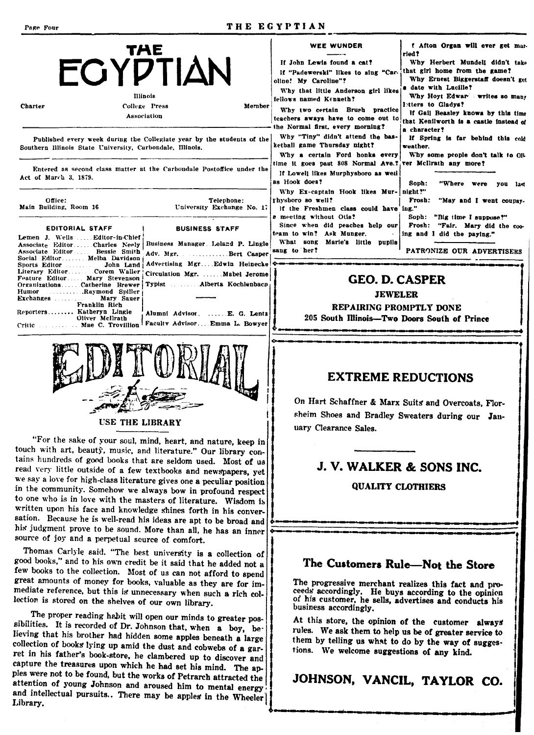á S

 $\mathbf C$ 

R  $\mathbf C$ 

#### THE EGYPTIAN

| THE<br><b>ECYPTIAN</b><br>Illinois<br>College Press<br>Member<br>Charter<br>Association                                                                                                                                                                                                                                                                                                                                                           | <b>WEE WUNDER</b><br>If John Lewis found a cat?<br>If "Padewerski" likes to sing "Car-<br>oline! My Caroline"?<br>Why that little Anderson girl likes<br>fellows named Kenneth?<br>Why two certain Brush practice<br>the Normal first, every morning? | f Afton Organ will ever get mar-<br>ried?<br>Why Herbert Mundell didn't take<br>that girl home from the game?<br>Why Ernest Biggerstaff doesn't get<br>a date with Lucille?<br>Why Hoyt Edwar writes so many<br>letters to Gladys?<br>If Gail Beasley knows by this time<br>teachers aways have to come out to that Kenilworth is a castle instead of |
|---------------------------------------------------------------------------------------------------------------------------------------------------------------------------------------------------------------------------------------------------------------------------------------------------------------------------------------------------------------------------------------------------------------------------------------------------|-------------------------------------------------------------------------------------------------------------------------------------------------------------------------------------------------------------------------------------------------------|-------------------------------------------------------------------------------------------------------------------------------------------------------------------------------------------------------------------------------------------------------------------------------------------------------------------------------------------------------|
| Published every week during the Collegiate year by the students of the<br>Southern Illinois State University, Carbondale, Illinois.                                                                                                                                                                                                                                                                                                               | Why "Tiny" didn't attend the bas-<br>ketball game Thursday night?<br>Why a certain Ford honks every                                                                                                                                                   | a character?<br>If Spring is far behind this cold<br>weather.<br>Why some people don't talk to OR                                                                                                                                                                                                                                                     |
| Entered as second class matter at the Carbondale Postoffice under the<br>Act of March 3, 1879.                                                                                                                                                                                                                                                                                                                                                    | time it goes past 808 Normal Ave.? ver McIlrath any more?<br>If Lowell likes Murphysboro as well<br>as Hook does?                                                                                                                                     | Soph:<br>"Where were<br>you last                                                                                                                                                                                                                                                                                                                      |
| Office:<br>Telephone:<br>Main Building, Room 16<br>University Exchange No. 17                                                                                                                                                                                                                                                                                                                                                                     | Why Ex-captain Hook likes Mur- night?"<br>rhysboro so well?<br>if the Freshmen class could have ing."<br><b>8 meeting without Otis?</b>                                                                                                               | "May and I went coupay-<br>Frosh:<br>Soph: "Big time I suppose?"                                                                                                                                                                                                                                                                                      |
| <b>EDITORIAL STAFF</b><br><b>BUSINESS STAFF</b><br>emen J. Wells  Editor-in-Chief .<br>Business Manager Leland P. Lingle<br>ssociate Editor  Charles Neely  <br>ssociate Editor  Bessie Smith<br>Adv. Mgr. Bert Casper<br>ocial EditorMelba Davidson                                                                                                                                                                                              | team to win? Ask Munger.<br>What song Marie's little pupils<br>sang to her?                                                                                                                                                                           | Since when did peaches help our Frosh: "Fair. Mary did the coo-<br>ling and I did the paying."<br>PATRONIZE OUR ADVERTISERS                                                                                                                                                                                                                           |
| Advertising MgrEdwin Heinecke<br>John Land<br>iterary EditorCorem Waller.<br>Circulation Mgr. Mabel Jerome<br>eature Editor Mary Stevenson<br>Typist  Alberta Kochlenbacn<br>rganizationsCatherine Brewer<br><b>Expanding Spiller</b> Concernsional Spiller<br>lumor :<br>Mary Sauer<br>Franklin Rich<br>eporters Katheryn Lingle<br>Alumni Advisor.  E. G. Lentz<br>Oliver McIlrath<br>Faculty Advisor Emma L. Bowyer<br>ritic Mae C. Trovillion | <b>GEO. D. CASPER</b><br><b>JEWELER</b><br>REPAIRING PROMPTLY DONE<br>205 South Illinois—Two Doors South of Prince                                                                                                                                    |                                                                                                                                                                                                                                                                                                                                                       |

# **EXTREME REDUCTIONS**

On Hart Schaffner & Marx Suits and Overcoats, Florsheim Shoes and Bradley Sweaters during our January Clearance Sales.

#### J. V. WALKER & SONS INC.

**QUALITY CLOTHIERS** 

# The Customers Rule-Not the Store

The progressive merchant realizes this fact and proceeds accordingly. He buys according to the opinion of his customer, he sells, advertises and conducts his business accordingly.

At this store, the opinion of the customer always rules. We ask them to help us be of greater service to them by telling us what to do by the way of suggestions. We welcome suggestions of any kind.

JOHNSON, VANCIL, TAYLOR CO.

**USE THE LIBRARY** 

"For the sake of your soul, mind, heart, and nature, keep in touch with art, beauty, music, and literature." Our library contains hundreds of good books that are seldom used. Most of us read very little outside of a few textbooks and newspapers, yet we say a love for high-class literature gives one a peculiar position in the community. Somehow we always bow in profound respect to one who is in love with the masters of literature. Wisdom is written upon his face and knowledge shines forth in his conversation. Because he is well-read his ideas are apt to be broad and his judgment prove to be sound. More than all, he has an inner source of joy and a perpetual source of comfort.

Thomas Carlyle said. "The best university is a collection of good books," and to his own credit be it said that he added not a few books to the collection. Most of us can not afford to spend great amounts of money for books, valuable as they are for immediate reference, but this is unnecessary when such a rich collection is stored on the shelves of our own library.

The proper reading habit will open our minds to greater possibilities. It is recorded of Dr. Johnson that, when a boy, believing that his brother had hidden some apples beneath a large collection of books lying up amid the dust and cobwebs of a garret in his father's book-store, he clambered up to discover and capture the treasures upon which he had set his mind. The apples were not to be found, but the works of Petrarch attracted the attention of young Johnson and aroused him to mental energy and intellectual pursuits.. There may be apples in the Wheeler Library.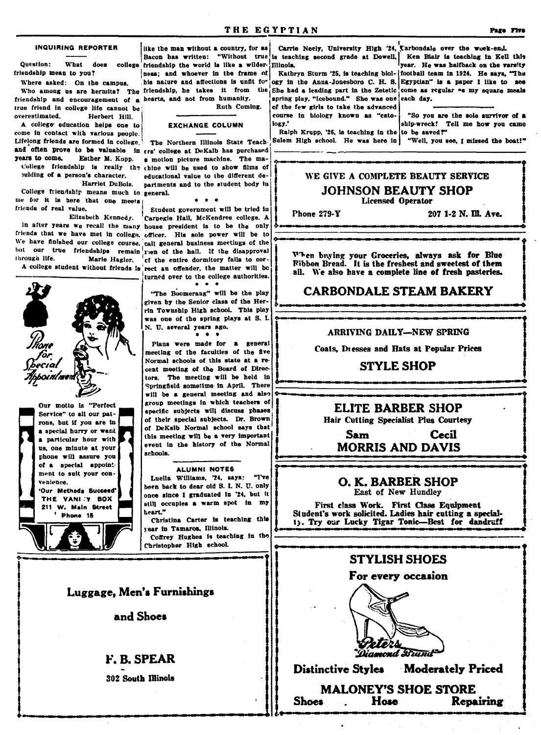#### **INQUIRING REPORTER**

Question: What does friendship mean to you?

Where asked: On the campus. friendship and encouragement of a hearts, and not from humanity. true friend in college life cannot be overestimated. Herbert Hill.

A college education helps one to come in contact with various people. Lifelong friends are formed in college. years to come. Esther M. Kopp. pulding of a person's character.

Harriet DuBois. College friendship means much to general. me for it is here that one meets friends of real value.

Elizabeth Kennedy. friends that we have met in college, officer. His sole power will be to We have finished our college course, call general business meetings of the but our true friendships remain rien of the hall. If the disapproval through life. Marie Hagler,

Our motto is "Perfect

Service" to all our pat-

rons, but if you are in

a special hurry or want

a particular hour with

us, one minute at your

phone will assure you of a special appoint.

ment to suit your con-

'Our Methods Succeed'

THE VANLTY BOX

211 W. Main Street

Phone 15

venience.

college friendship the world is like a wilder-Illinois. ness; and whoever in the frame of

his nature and affections is unfit for

Ruth Coming.

#### **EXCHANGE COLUMN**

The Northern Illinois State Teachand often prove to be valuable in  $\epsilon$ rs' college at DeKalb has purchased a motion picture machine. The ma-College friendship is really the thine will be used to show films of educational value to the different departments and to the student body in

Student government will be tried in Carnegie Hall, McKendree college. A In after years we recall the many house president is to be the only of the entire dormitory fails to cor-A college student without friends is rect an offender, the matter will be turned over to the college authorities.  $\bullet \quad \bullet \quad \bullet$ 

"The Boomerang" will be the play given by the Senior class of the Herrin Township High school. This play was one of the spring plays at S. I. N. U. several years ago.  $\bullet$ ٠

Plans were made for a general meeting of the faculties of the five Normal schools of this state at a recent meeting of the Board of Directors. The meeting will be held in Springfield sometime in April. There will be a general meeting and also group meetings in which teachers of specific subjects will discuss phases of their special subjects. Dr. Brown of DeKalb Normal school says that this meeting will be a very important event in the history of the Normal schools.

#### ALUMNI NOTES

Luella Williams, '24, says: "I've been back to dear old S. I. N. U. only once since I graduated in '24, but it still occupies a warm spot in my heart."

Christina Carter is teaching this year in Tamaroa, Illinois. Coffrey Hughes is teaching in the Christopher High school.

#### Luggage, Men's Furnishings

and Shoes

**F. R. SPEAR** 

**302 South Illinois** 

Carrie Neely, University High '24, Carbondale over the woek-end. like the man without a country, for as Bacon has written: "Without true is teaching second grade at Dowell, Ken Blair is teaching in Kell this year. He was halfback on the varsity

Kathryn Sturm '25, is teaching biol- football team in 1924. He says, "The ogy in the Anna-Jonesboro C. H. S. Egyptian" is a paper I like to see Who among us are hermits? The friendship, he takes it from the She had a leading part in the Zetetic come as regular as my square meals spring play, "Icebound." She was one each day.

of the few girls to take the advanced course in biology known as "catology.'

"So you are the sole survivor of a ship-wreck! Tell me how you came

Ralph Krupp, '26, is teaching in the to be saved?" Salem High school. He was here in 'Well, you see, I missed the boat!"

### WE GIVE A COMPLETE BEAUTY SERVICE **JOHNSON BEAUTY SHOP Licensed Operator**

Phone 279-Y

207 1-2 N. Ill. Ave.

When buying your Groceries, always ask for Blue<br>Ribbon Bread. It is the freshest and sweetest of them all. We also have a complete line of fresh pasteries.

## **CARBONDALE STEAM BAKERY**

#### ARRIVING DAILY-NEW SPRING

Coats, Dresses and Hats at Popular Prices

#### **STYLE SHOP**

# **ELITE BARBER SHOP**

Hair Cutting Specialist Plus Courtesy

**Cecil** Sam **MORRIS AND DAVIS** 

O. K. BARBER SHOP East of New Hundley

First class Work. First Class Equipment<br>Student's work solicited. Ladies hair cutting a special-1). Try our Lucky Tigar Tonic-Best for dandruff

### **STYLISH SHOES**

### For every occasion



Moderately Priced **Distinctive Styles** 

**MALONEY'S SHOE STORE Shoes** Hose **Repairing**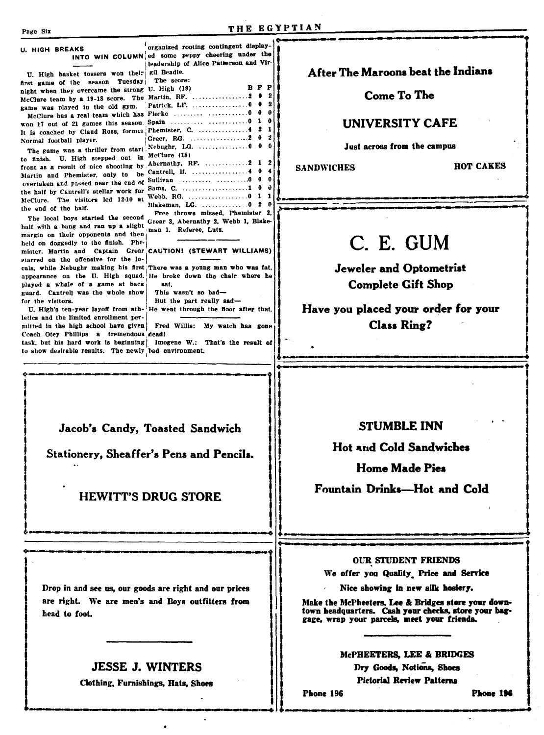# U. HIGH BREAKS

U. High basket tossers won their sil Beadle. first game of the season Tuesday night when they overcame the strong U. High (19) 

Normal football player.

to finish. U. High stepped out in McClure (18) the half by Cantrell's stellar work for Sams, C. the end of the half.

held on doggedly to the finish. Phemister. Martin and Captain Grear starred on the offensive for the loplayed a whale of a game at back guard. Cantrell was the whole show for the visitors.

letics and the limited enrollment permitted in the high school have given Fred Willis: My watch has gone Coach Otey Phillips a tremendous dead! task, but his hard work is beginning | Imogene W.: That's the result of to show desirable results. The newly had environment.

head to foot.

organized rooting contingent display-INTO WIN COLUMN ed some peppy cheering under the leadership of Alice Patterson and Vir-The score: **BFP**  $\overline{2}$ game was played in the old gym. Patrick, LF. ........................ 0 0 - 2  $\theta$  $\ddot{\mathbf{a}}$ The game was a thriller from start Nebughr, LG.  $\theta$  $\overline{2}$  $\mathbf{0}$  $\mathbf{a}$ McClure. The visitors led 12-10 at Webb, RG. Blakeman, LG. ................ 0 2 0 Free throws missed, Phemister 2, The local boys started the second<br>half with a bang and ran up a slight Grear 3, Abernathy 2, Webb 1, Blake-<br>margin on their opponents and then<br>|<br>| and 1. Referee, Lutz.

# CAUTION! (STEWART WILLIAMS)

cals, while Nebughr making his first There was a young man who was fat, appearance on the U. High squad. He broke down the chair where he sat. This wasn't so bad-

But the part really sad-U. High's ten-year layoff from ath- He went through the floor after that.

# After The Maroons beat the Indians

## Come To The

### **UNIVERSITY CAFE**

#### Just across from the campus

**SANDWICHES** 

**HOT CAKES** 

# C. E. GUM

**Jeweler and Optometrist Complete Gift Shop** 

Have you placed your order for your **Class Ring?** 

Jacob's Candy, Toasted Sandwich

Stationery, Sheaffer's Pens and Pencils.

# **HEWITT'S DRUG STORE**

# **STUMBLE INN**

**Hot and Cold Sandwiches** 

**Home Made Pies** 

Fountain Drinks-Hot and Cold

#### **OUR STUDENT FRIENDS**

We offer you Quality Price and Service

Nice showing in new silk hosiery.

Make the McPheeters, Lee & Bridges store your downtown headquarters. Cash your checks, store your baggage, wrap your parcels, meet your friends.

#### McPHEETERS, LEE & BRIDGES

Dry Goods, Notions, Shoes **Pictorial Review Patterns** 

Phone 196

Phone 196

# Drop in and see us, our goods are right and our prices are right. We are men's and Boys outfitters from

# **JESSE J. WINTERS**

Clothing, Furnishings, Hats, Shoes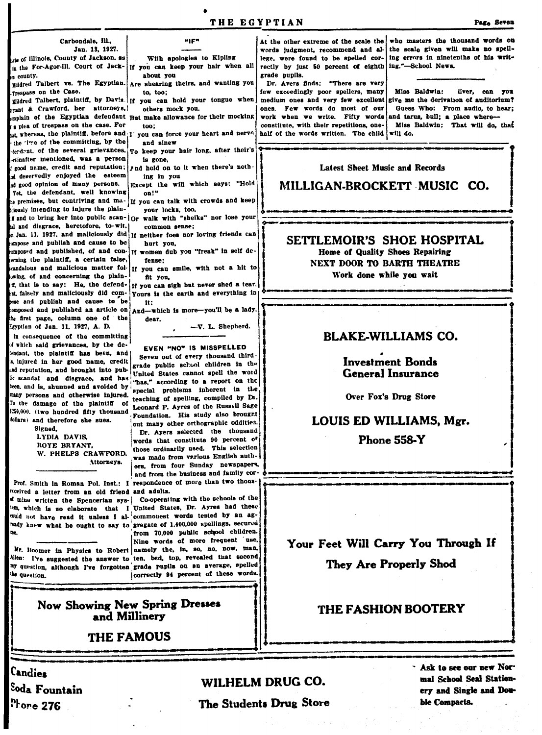tate of Illinois, County of Jackson, sa in the For-Agor-Ill. Court of Jack- If you can keep your hair when all <sub>hu county.</sub>

uildred Talbert vs. The Egyptian. Trespass on the Case.

rant & Crawford, her attorneys, mplain of the Egyptian defendant But make allowance for their mocking a plea of trespass on the case. For at, whereas, the plaintiff, before and  $\mathbf{r}$ . the time of the committing, by the ferdent, of the several grievances, rtinafter mentioned, was a person good name, credit and reputation; d deservedly enjoyed the esteem

ad good opinion of many persons. Yet, the defendant, well knowing be premises, but contriving and majously intending to injure the plainf and to bring her into public scan- | Or al and disgrace, heretofore, to-wit,  $\alpha$  Jan. 11. 1927, and maliciously did ompose and publish and cause to be omposed and published, of and conerning the plaintiff, a certain false, candalous and malicious matter folwing, of and concerning the plainf, that is to say: He, the defendat, falsely and maliciously did comose and publish and cause to be composed and published an article on  $_{\text{And}-\text{which}}$  is more-you'll be a lady. be first page, column one of the Egyptian of Jan. 11, 1927, A. D.

in consequence of the committing d which said grievances, by the deendant, the plaintiff has been, and is injured in her good name, credit ad reputation, and brought into pubic scandal and disgrace, and has been, and is, shunned and avoided by many persons and otherwise injured. To the damage of the plaintiff of 1250,000. (two hundred fifty thousand dollars) and therefore she sues.

Signed, LYDIA DAVIS, ROYE BRYANT. W. PHELPS CRAWFORD. Attorneys.

Prof. Smith in Roman Pol. Inst.: I respondence of more than two thousficeived a letter from an old friend and adults. d mine written the Spencerian sys- Co-operating with the schools of the <sup>could</sup> not have read it unless I al- commonest words tested by an agready knew what he ought to say to gregate of  $1,400,000$  spellings, secured

Mr. Boomer in Physics to Robert namely the, in, so, no, now, man, Allen: I've suggested the answer to ten, bed, top, revealed that second ny question, although I've forgotten grade pupils on an average, spelled the question

about you Are shearing theirs, and wanting you to. too:

Mildred Talbert, plaintiff, by Davis. If you can hold your tongue when others mock you,

**HIE!** 

With apologies to Kipling

ton:

you can force your heart and nerve and sinev

To keep your hair long, after their's is gone.

And hold on to it when there's nothing in you

Except the will which says: "Hold on!"

If you can talk with crowds and keep your locks, too,

- walk with "sheiks" nor lose your common sense;
- If neither foes nor loving friends can hurt vou.
- If women dub you "freak" in self defense:
- If you can smile, with not a hit to fit you,

If you can sigh but never shed a tear. Yours is the earth and everything in tt:

dear.

-V. L. Shepherd.

#### EVEN "NO" IS MISSPELLED

Seven out of every thousand thirdgrade public school children in the United States cannot spell the word "has," according to a report on the special problems inherent in the teaching of spelling, compiled by Dr. Leonard P. Ayres of the Russell Sage Foundation. His study also brought out many other orthographic oddities. Dr. Ayers selected the thousand words that constitute 90 percent of those ordinarily used. This selection was made from various English authors, from four Sunday newspapers, and from the business and family cor-

em, which is so elaborate that I United States, Dr. Ayres had these from 70,000 public school children.

Nine words of more frequent use,

correctly 94 percent of these words.



**THE FAMOUS** 

**Candies** <sup>Sod</sup>a Fountain  $\mathbf{P_{1}$ ore 276

# WILHELM DRUG CO.

The Students Drug Store

At the other extreme of the scale the who masters the thousand words on rectly by just 50 percent of eighth ing."-School News. grade pupils.

Dr. Avers finds: "There are very

few exceedingly poor spellers, many medium ones and very few excellent sive me the derivation of auditorium? ones. Few words do most of our work when we write. Fifty words and tarus, bull; a place whereconstitute, with their repetitions, onehalf of the words written. The child will do.

words judgment, recommend and al- the scale given will make no spelllege, were found to be spelled cor- ing errors in ninetenths of his writ-

> Miss Baldwin: liver, can you Guess Who: From audio, to hear; Miss Baldwin: That will do, that

# **Latest Sheet Music and Records**

# MILLIGAN-BROCKETT MUSIC CO.

SETTLEMOIR'S SHOE HOSPITAL

Home of Quality Shoes Repairing NEXT DOOR TO BARTH THEATRE Work done while you wait

# **BLAKE-WILLIAMS CO.**

## **Investment Bonds General Insurance**

Over Fox's Drug Store

### LOUIS ED WILLIAMS, Mgr.

**Phone 558-Y** 

Your Feet Will Carry You Through If **They Are Properly Shod** 

### **THE FASHION BOOTERY**

Ask to see our new Normal School Seal Stationery and Single and Double Compacts.